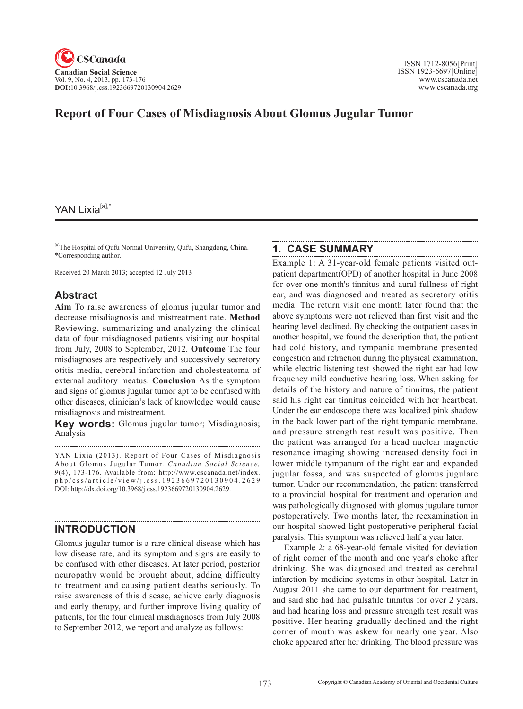# **Report of Four Cases of Misdiagnosis About Glomus Jugular Tumor**

## YAN Lixia<sup>[a],\*</sup>

[a]The Hospital of Qufu Normal University, Qufu, Shangdong, China. \*Corresponding author.

Received 20 March 2013; accepted 12 July 2013

## **Abstract**

**Aim** To raise awareness of glomus jugular tumor and decrease misdiagnosis and mistreatment rate. **Method**  Reviewing, summarizing and analyzing the clinical data of four misdiagnosed patients visiting our hospital from July, 2008 to September, 2012. **Outcome** The four misdiagnoses are respectively and successively secretory otitis media, cerebral infarction and cholesteatoma of external auditory meatus. **Conclusion** As the symptom and signs of glomus jugular tumor apt to be confused with other diseases, clinician's lack of knowledge would cause misdiagnosis and mistreatment.

**Key words:** Glomus jugular tumor; Misdiagnosis; Analysis

YAN Lixia (2013). Report of Four Cases of Misdiagnosis About Glomus Jugular Tumor. *Canadian Social Science*, 9(4), 173-176. Available from: http://www.cscanada.net/index. php/css/article/view/j.css.1923669720130904.2629 DOI: http://dx.doi.org/10.3968/j.css.1923669720130904.2629. 

#### **INTRODUCTION**

Glomus jugular tumor is a rare clinical disease which has low disease rate, and its symptom and signs are easily to be confused with other diseases. At later period, posterior neuropathy would be brought about, adding difficulty to treatment and causing patient deaths seriously. To raise awareness of this disease, achieve early diagnosis and early therapy, and further improve living quality of patients, for the four clinical misdiagnoses from July 2008 to September 2012, we report and analyze as follows:

## **1. CASE SUMMARY**

Example 1: A 31-year-old female patients visited outpatient department(OPD) of another hospital in June 2008 for over one month's tinnitus and aural fullness of right ear, and was diagnosed and treated as secretory otitis media. The return visit one month later found that the above symptoms were not relieved than first visit and the hearing level declined. By checking the outpatient cases in another hospital, we found the description that, the patient had cold history, and tympanic membrane presented congestion and retraction during the physical examination, while electric listening test showed the right ear had low frequency mild conductive hearing loss. When asking for details of the history and nature of tinnitus, the patient said his right ear tinnitus coincided with her heartbeat. Under the ear endoscope there was localized pink shadow in the back lower part of the right tympanic membrane, and pressure strength test result was positive. Then the patient was arranged for a head nuclear magnetic resonance imaging showing increased density foci in lower middle tympanum of the right ear and expanded jugular fossa, and was suspected of glomus jugulare tumor. Under our recommendation, the patient transferred to a provincial hospital for treatment and operation and was pathologically diagnosed with glomus jugulare tumor postoperatively. Two months later, the reexamination in our hospital showed light postoperative peripheral facial paralysis. This symptom was relieved half a year later.

Example 2: a 68-year-old female visited for deviation of right corner of the month and one year's choke after drinking. She was diagnosed and treated as cerebral infarction by medicine systems in other hospital. Later in August 2011 she came to our department for treatment, and said she had had pulsatile tinnitus for over 2 years, and had hearing loss and pressure strength test result was positive. Her hearing gradually declined and the right corner of mouth was askew for nearly one year. Also choke appeared after her drinking. The blood pressure was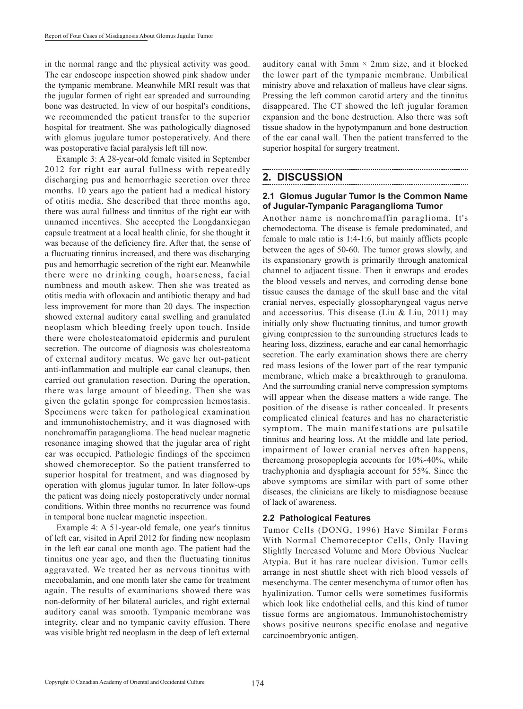in the normal range and the physical activity was good. The ear endoscope inspection showed pink shadow under the tympanic membrane. Meanwhile MRI result was that the jugular formen of right ear spreaded and surrounding bone was destructed. In view of our hospital's conditions, we recommended the patient transfer to the superior hospital for treatment. She was pathologically diagnosed with glomus jugulare tumor postoperatively. And there was postoperative facial paralysis left till now.

Example 3: A 28-year-old female visited in September 2012 for right ear aural fullness with repeatedly discharging pus and hemorrhagic secretion over three months. 10 years ago the patient had a medical history of otitis media. She described that three months ago, there was aural fullness and tinnitus of the right ear with unnamed incentives. She accepted the Longdanxiegan capsule treatment at a local health clinic, for she thought it was because of the deficiency fire. After that, the sense of a fluctuating tinnitus increased, and there was discharging pus and hemorrhagic secretion of the right ear. Meanwhile there were no drinking cough, hoarseness, facial numbness and mouth askew. Then she was treated as otitis media with ofloxacin and antibiotic therapy and had less improvement for more than 20 days. The inspection showed external auditory canal swelling and granulated neoplasm which bleeding freely upon touch. Inside there were cholesteatomatoid epidermis and purulent secretion. The outcome of diagnosis was cholesteatoma of external auditory meatus. We gave her out-patient anti-inflammation and multiple ear canal cleanups, then carried out granulation resection. During the operation, there was large amount of bleeding. Then she was given the gelatin sponge for compression hemostasis. Specimens were taken for pathological examination and immunohistochemistry, and it was diagnosed with nonchromaffin paraganglioma. The head nuclear magnetic resonance imaging showed that the jugular area of right ear was occupied. Pathologic findings of the specimen showed chemoreceptor. So the patient transferred to superior hospital for treatment, and was diagnosed by operation with glomus jugular tumor. In later follow-ups the patient was doing nicely postoperatively under normal conditions. Within three months no recurrence was found in temporal bone nuclear magnetic inspection.

Example 4: A 51-year-old female, one year's tinnitus of left ear, visited in April 2012 for finding new neoplasm in the left ear canal one month ago. The patient had the tinnitus one year ago, and then the fluctuating tinnitus aggravated. We treated her as nervous tinnitus with mecobalamin, and one month later she came for treatment again. The results of examinations showed there was non-deformity of her bilateral auricles, and right external auditory canal was smooth. Tympanic membrane was integrity, clear and no tympanic cavity effusion. There was visible bright red neoplasm in the deep of left external auditory canal with  $3 \text{mm} \times 2 \text{mm}$  size, and it blocked the lower part of the tympanic membrane. Umbilical ministry above and relaxation of malleus have clear signs. Pressing the left common carotid artery and the tinnitus disappeared. The CT showed the left jugular foramen expansion and the bone destruction. Also there was soft tissue shadow in the hypotympanum and bone destruction of the ear canal wall. Then the patient transferred to the superior hospital for surgery treatment.

## **2. DISCUSSION**

#### **2.1 Glomus Jugular Tumor Is the Common Name of Jugular-Tympanic Paraganglioma Tumor**

Another name is nonchromaffin paraglioma. It's chemodectoma. The disease is female predominated, and female to male ratio is 1:4-1:6, but mainly afflicts people between the ages of 50-60. The tumor grows slowly, and its expansionary growth is primarily through anatomical channel to adjacent tissue. Then it enwraps and erodes the blood vessels and nerves, and corroding dense bone tissue causes the damage of the skull base and the vital cranial nerves, especially glossopharyngeal vagus nerve and accessorius. This disease (Liu & Liu, 2011) may initially only show fluctuating tinnitus, and tumor growth giving compression to the surrounding structures leads to hearing loss, dizziness, earache and ear canal hemorrhagic secretion. The early examination shows there are cherry red mass lesions of the lower part of the rear tympanic membrane, which make a breakthrough to granuloma. And the surrounding cranial nerve compression symptoms will appear when the disease matters a wide range. The position of the disease is rather concealed. It presents complicated clinical features and has no characteristic symptom. The main manifestations are pulsatile tinnitus and hearing loss. At the middle and late period, impairment of lower cranial nerves often happens, thereamong prosopoplegia accounts for 10%-40%, while trachyphonia and dysphagia account for 55%. Since the above symptoms are similar with part of some other diseases, the clinicians are likely to misdiagnose because of lack of awareness.

#### **2.2 Pathological Features**

Tumor Cells (DONG, 1996) Have Similar Forms With Normal Chemoreceptor Cells, Only Having Slightly Increased Volume and More Obvious Nuclear Atypia. But it has rare nuclear division. Tumor cells arrange in nest shuttle sheet with rich blood vessels of mesenchyma. The center mesenchyma of tumor often has hyalinization. Tumor cells were sometimes fusiformis which look like endothelial cells, and this kind of tumor tissue forms are angiomatous. Immunohistochemistry shows positive neurons specific enolase and negative carcinoembryonic antigen.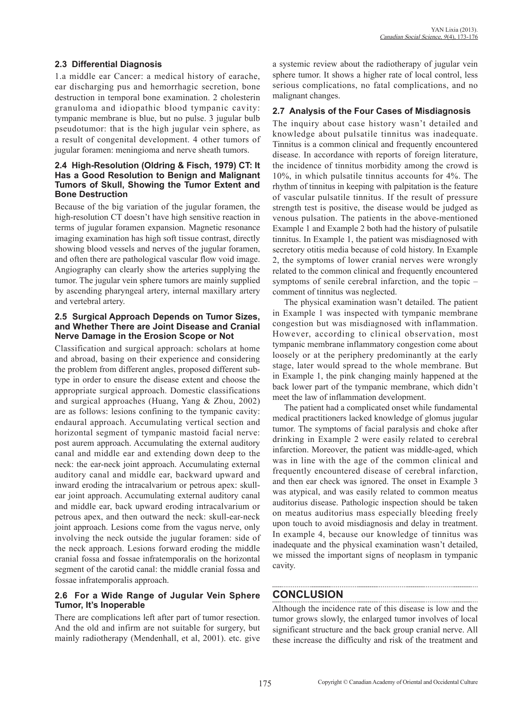## **2.3 Differential Diagnosis**

1.a middle ear Cancer: a medical history of earache, ear discharging pus and hemorrhagic secretion, bone destruction in temporal bone examination. 2 cholesterin granuloma and idiopathic blood tympanic cavity: tympanic membrane is blue, but no pulse. 3 jugular bulb pseudotumor: that is the high jugular vein sphere, as a result of congenital development. 4 other tumors of jugular foramen: meningioma and nerve sheath tumors.

#### **2.4 High-Resolution (Oldring & Fisch, 1979) CT: It Has a Good Resolution to Benign and Malignant Tumors of Skull, Showing the Tumor Extent and Bone Destruction**

Because of the big variation of the jugular foramen, the high-resolution CT doesn't have high sensitive reaction in terms of jugular foramen expansion. Magnetic resonance imaging examination has high soft tissue contrast, directly showing blood vessels and nerves of the jugular foramen, and often there are pathological vascular flow void image. Angiography can clearly show the arteries supplying the tumor. The jugular vein sphere tumors are mainly supplied by ascending pharyngeal artery, internal maxillary artery and vertebral artery.

#### **2.5 Surgical Approach Depends on Tumor Sizes, and Whether There are Joint Disease and Cranial Nerve Damage in the Erosion Scope or Not**

Classification and surgical approach: scholars at home and abroad, basing on their experience and considering the problem from different angles, proposed different subtype in order to ensure the disease extent and choose the appropriate surgical approach. Domestic classifications and surgical approaches (Huang, Yang & Zhou, 2002) are as follows: lesions confining to the tympanic cavity: endaural approach. Accumulating vertical section and horizontal segment of tympanic mastoid facial nerve: post aurem approach. Accumulating the external auditory canal and middle ear and extending down deep to the neck: the ear-neck joint approach. Accumulating external auditory canal and middle ear, backward upward and inward eroding the intracalvarium or petrous apex: skullear joint approach. Accumulating external auditory canal and middle ear, back upward eroding intracalvarium or petrous apex, and then outward the neck: skull-ear-neck joint approach. Lesions come from the vagus nerve, only involving the neck outside the jugular foramen: side of the neck approach. Lesions forward eroding the middle cranial fossa and fossae infratemporalis on the horizontal segment of the carotid canal: the middle cranial fossa and fossae infratemporalis approach.

#### **2.6 For a Wide Range of Jugular Vein Sphere Tumor, It's Inoperable**

There are complications left after part of tumor resection. And the old and infirm are not suitable for surgery, but mainly radiotherapy (Mendenhall, et al, 2001). etc. give

a systemic review about the radiotherapy of jugular vein sphere tumor. It shows a higher rate of local control, less serious complications, no fatal complications, and no malignant changes.

## **2.7 Analysis of the Four Cases of Misdiagnosis**

The inquiry about case history wasn't detailed and knowledge about pulsatile tinnitus was inadequate. Tinnitus is a common clinical and frequently encountered disease. In accordance with reports of foreign literature, the incidence of tinnitus morbidity among the crowd is 10%, in which pulsatile tinnitus accounts for 4%. The rhythm of tinnitus in keeping with palpitation is the feature of vascular pulsatile tinnitus. If the result of pressure strength test is positive, the disease would be judged as venous pulsation. The patients in the above-mentioned Example 1 and Example 2 both had the history of pulsatile tinnitus. In Example 1, the patient was misdiagnosed with secretory otitis media because of cold history. In Example 2, the symptoms of lower cranial nerves were wrongly related to the common clinical and frequently encountered symptoms of senile cerebral infarction, and the topic – comment of tinnitus was neglected.

The physical examination wasn't detailed. The patient in Example 1 was inspected with tympanic membrane congestion but was misdiagnosed with inflammation. However, according to clinical observation, most tympanic membrane inflammatory congestion come about loosely or at the periphery predominantly at the early stage, later would spread to the whole membrane. But in Example 1, the pink changing mainly happened at the back lower part of the tympanic membrane, which didn't meet the law of inflammation development.

The patient had a complicated onset while fundamental medical practitioners lacked knowledge of glomus jugular tumor. The symptoms of facial paralysis and choke after drinking in Example 2 were easily related to cerebral infarction. Moreover, the patient was middle-aged, which was in line with the age of the common clinical and frequently encountered disease of cerebral infarction, and then ear check was ignored. The onset in Example 3 was atypical, and was easily related to common meatus auditorius disease. Pathologic inspection should be taken on meatus auditorius mass especially bleeding freely upon touch to avoid misdiagnosis and delay in treatment. In example 4, because our knowledge of tinnitus was inadequate and the physical examination wasn't detailed, we missed the important signs of neoplasm in tympanic cavity.

## **CONCLUSION**

Although the incidence rate of this disease is low and the tumor grows slowly, the enlarged tumor involves of local significant structure and the back group cranial nerve. All these increase the difficulty and risk of the treatment and